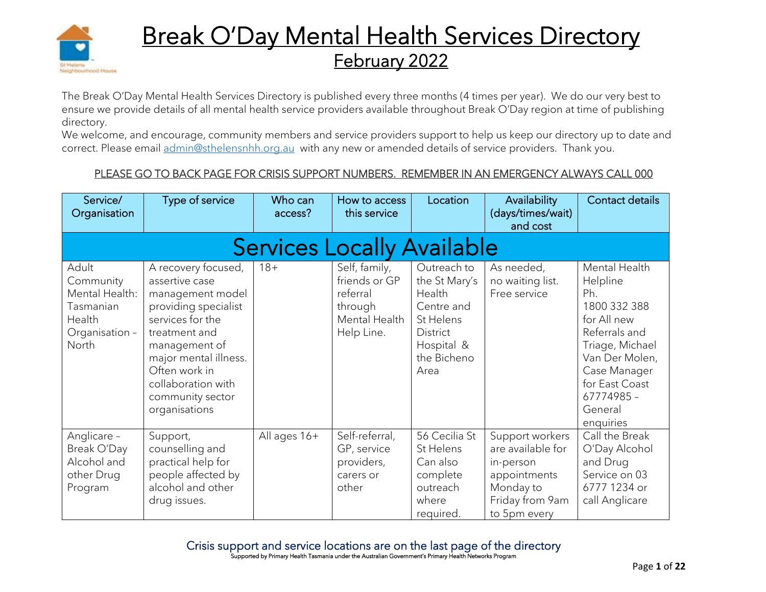

# **Break O'Day Mental Health Services Directory** February 2022

The Break O'Day Mental Health Services Directory is published every three months (4 times per year). We do our very best to ensure we provide details of all mental health service providers available throughout Break O'Day region at time of publishing directory.

We welcome, and encourage, community members and service providers support to help us keep our directory up to date and correct. Please email [admin@sthelensnhh.org.au](mailto:admin@sthelensnhh.org.au) with any new or amended details of service providers. Thank you.

### PLEASE GO TO BACK PAGE FOR CRISIS SUPPORT NUMBERS. REMEMBER IN AN EMERGENCY ALWAYS CALL 000

| Service/<br>Organisation                                                               | Type of service                                                                                                                                                                                                                              | Who can<br>access? | How to access<br>this service                                                        | Location                                                                                                           | Availability<br>(days/times/wait)<br>and cost                                                                     | Contact details                                                                                                                                                                               |  |  |  |
|----------------------------------------------------------------------------------------|----------------------------------------------------------------------------------------------------------------------------------------------------------------------------------------------------------------------------------------------|--------------------|--------------------------------------------------------------------------------------|--------------------------------------------------------------------------------------------------------------------|-------------------------------------------------------------------------------------------------------------------|-----------------------------------------------------------------------------------------------------------------------------------------------------------------------------------------------|--|--|--|
| <b>Services Locally Available</b>                                                      |                                                                                                                                                                                                                                              |                    |                                                                                      |                                                                                                                    |                                                                                                                   |                                                                                                                                                                                               |  |  |  |
| Adult<br>Community<br>Mental Health:<br>Tasmanian<br>Health<br>Organisation -<br>North | A recovery focused,<br>assertive case<br>management model<br>providing specialist<br>services for the<br>treatment and<br>management of<br>major mental illness.<br>Often work in<br>collaboration with<br>community sector<br>organisations | $18 +$             | Self, family,<br>friends or GP<br>referral<br>through<br>Mental Health<br>Help Line. | Outreach to<br>the St Mary's<br>Health<br>Centre and<br>St Helens<br>District<br>Hospital &<br>the Bicheno<br>Area | As needed,<br>no waiting list.<br>Free service                                                                    | Mental Health<br>Helpline<br>Ph.<br>1800 332 388<br>for All new<br>Referrals and<br>Triage, Michael<br>Van Der Molen,<br>Case Manager<br>for East Coast<br>67774985 -<br>General<br>enquiries |  |  |  |
| Anglicare -<br>Break O'Day<br>Alcohol and<br>other Drug<br>Program                     | Support,<br>counselling and<br>practical help for<br>people affected by<br>alcohol and other<br>drug issues.                                                                                                                                 | All ages 16+       | Self-referral,<br>GP, service<br>providers,<br>carers or<br>other                    | 56 Cecilia St<br>St Helens<br>Can also<br>complete<br>outreach<br>where<br>required.                               | Support workers<br>are available for<br>in-person<br>appointments<br>Monday to<br>Friday from 9am<br>to 5pm every | Call the Break<br>O'Day Alcohol<br>and Drug<br>Service on 03<br>6777 1234 or<br>call Anglicare                                                                                                |  |  |  |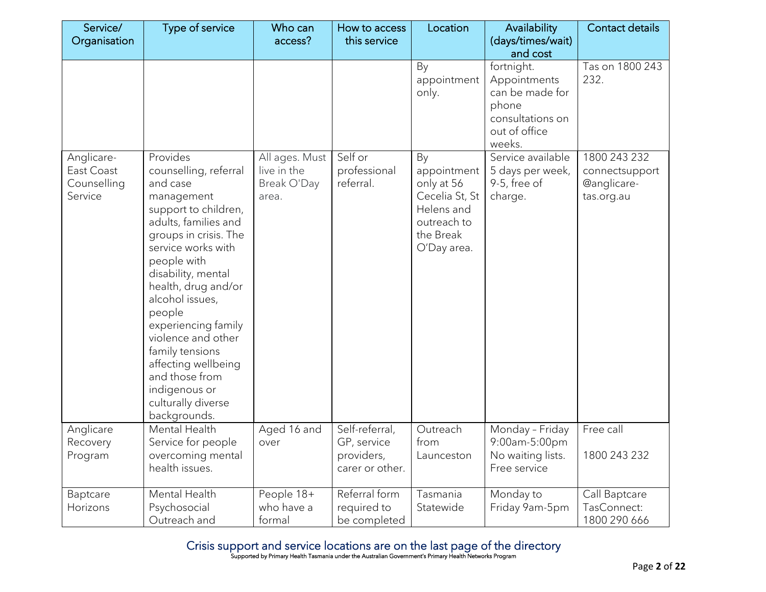| Service/                                           | Type of service                                                                                                                                                                                                                                                                                                                                                                                                     | Who can                                               | How to access                                                  | Location                                                                                                   | Availability                                                                                          | Contact details                                                    |
|----------------------------------------------------|---------------------------------------------------------------------------------------------------------------------------------------------------------------------------------------------------------------------------------------------------------------------------------------------------------------------------------------------------------------------------------------------------------------------|-------------------------------------------------------|----------------------------------------------------------------|------------------------------------------------------------------------------------------------------------|-------------------------------------------------------------------------------------------------------|--------------------------------------------------------------------|
| Organisation                                       |                                                                                                                                                                                                                                                                                                                                                                                                                     | access?                                               | this service                                                   |                                                                                                            | (days/times/wait)<br>and cost                                                                         |                                                                    |
|                                                    |                                                                                                                                                                                                                                                                                                                                                                                                                     |                                                       |                                                                | By<br>appointment<br>only.                                                                                 | fortnight.<br>Appointments<br>can be made for<br>phone<br>consultations on<br>out of office<br>weeks. | Tas on 1800 243<br>232.                                            |
| Anglicare-<br>East Coast<br>Counselling<br>Service | Provides<br>counselling, referral<br>and case<br>management<br>support to children,<br>adults, families and<br>groups in crisis. The<br>service works with<br>people with<br>disability, mental<br>health, drug and/or<br>alcohol issues,<br>people<br>experiencing family<br>violence and other<br>family tensions<br>affecting wellbeing<br>and those from<br>indigenous or<br>culturally diverse<br>backgrounds. | All ages. Must<br>live in the<br>Break O'Day<br>area. | Self or<br>professional<br>referral.                           | By<br>appointment<br>only at 56<br>Cecelia St, St<br>Helens and<br>outreach to<br>the Break<br>O'Day area. | Service available<br>5 days per week,<br>9-5, free of<br>charge.                                      | 1800 243 232<br>connectsupport<br><b>@anglicare-</b><br>tas.org.au |
| Anglicare<br>Recovery<br>Program                   | Mental Health<br>Service for people<br>overcoming mental<br>health issues.                                                                                                                                                                                                                                                                                                                                          | Aged 16 and<br>over                                   | Self-referral,<br>GP, service<br>providers,<br>carer or other. | Outreach<br>from<br>Launceston                                                                             | Monday - Friday<br>9:00am-5:00pm<br>No waiting lists.<br>Free service                                 | Free call<br>1800 243 232                                          |
| Baptcare<br>Horizons                               | Mental Health<br>Psychosocial<br>Outreach and                                                                                                                                                                                                                                                                                                                                                                       | People 18+<br>who have a<br>formal                    | Referral form<br>required to<br>be completed                   | Tasmania<br>Statewide                                                                                      | Monday to<br>Friday 9am-5pm                                                                           | Call Baptcare<br>TasConnect:<br>1800 290 666                       |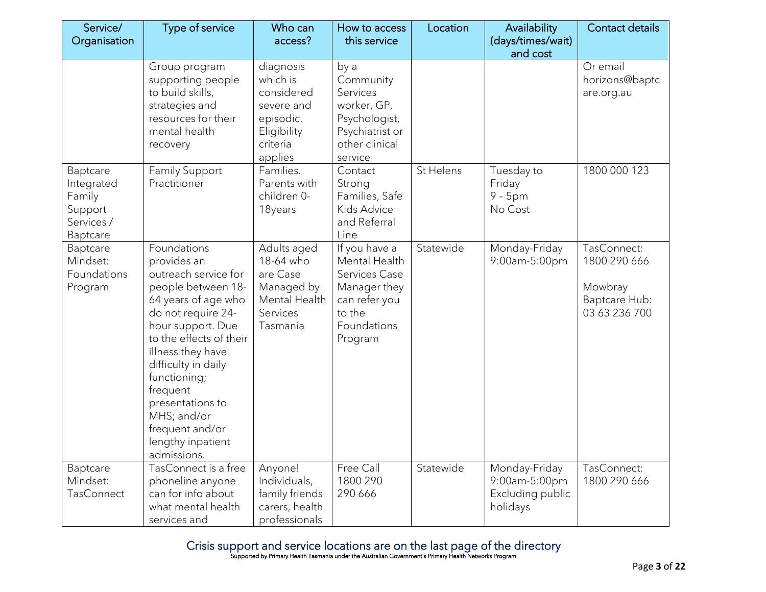| Service/<br>Organisation                                              | Type of service                                                                                                                                                                                                                                                                                                                         | Who can<br>access?                                                                                   | How to access<br>this service                                                                                        | Location  | Availability<br>(days/times/wait)                              | <b>Contact details</b>                                                   |
|-----------------------------------------------------------------------|-----------------------------------------------------------------------------------------------------------------------------------------------------------------------------------------------------------------------------------------------------------------------------------------------------------------------------------------|------------------------------------------------------------------------------------------------------|----------------------------------------------------------------------------------------------------------------------|-----------|----------------------------------------------------------------|--------------------------------------------------------------------------|
|                                                                       |                                                                                                                                                                                                                                                                                                                                         |                                                                                                      |                                                                                                                      |           | and cost                                                       |                                                                          |
|                                                                       | Group program<br>supporting people<br>to build skills,<br>strategies and<br>resources for their<br>mental health<br>recovery                                                                                                                                                                                                            | diagnosis<br>which is<br>considered<br>severe and<br>episodic.<br>Eligibility<br>criteria<br>applies | by a<br>Community<br>Services<br>worker, GP,<br>Psychologist,<br>Psychiatrist or<br>other clinical<br>service        |           |                                                                | Or email<br>horizons@baptc<br>are.org.au                                 |
| Baptcare<br>Integrated<br>Family<br>Support<br>Services /<br>Baptcare | <b>Family Support</b><br>Practitioner                                                                                                                                                                                                                                                                                                   | Families.<br>Parents with<br>children 0-<br>18years                                                  | Contact<br>Strong<br>Families, Safe<br><b>Kids Advice</b><br>and Referral<br>Line                                    | St Helens | Tuesday to<br>Friday<br>$9 - 5$ pm<br>No Cost                  | 1800 000 123                                                             |
| Baptcare<br>Mindset:<br>Foundations<br>Program                        | Foundations<br>provides an<br>outreach service for<br>people between 18-<br>64 years of age who<br>do not require 24-<br>hour support. Due<br>to the effects of their<br>illness they have<br>difficulty in daily<br>functioning;<br>frequent<br>presentations to<br>MHS; and/or<br>frequent and/or<br>lengthy inpatient<br>admissions. | Adults aged<br>18-64 who<br>are Case<br>Managed by<br>Mental Health<br>Services<br>Tasmania          | If you have a<br>Mental Health<br>Services Case<br>Manager they<br>can refer you<br>to the<br>Foundations<br>Program | Statewide | Monday-Friday<br>9:00am-5:00pm                                 | TasConnect:<br>1800 290 666<br>Mowbray<br>Baptcare Hub:<br>03 63 236 700 |
| Baptcare<br>Mindset:<br><b>TasConnect</b>                             | TasConnect is a free<br>phoneline anyone<br>can for info about<br>what mental health<br>services and                                                                                                                                                                                                                                    | Anyone!<br>Individuals,<br>family friends<br>carers, health<br>professionals                         | Free Call<br>1800 290<br>290 666                                                                                     | Statewide | Monday-Friday<br>9:00am-5:00pm<br>Excluding public<br>holidays | TasConnect:<br>1800 290 666                                              |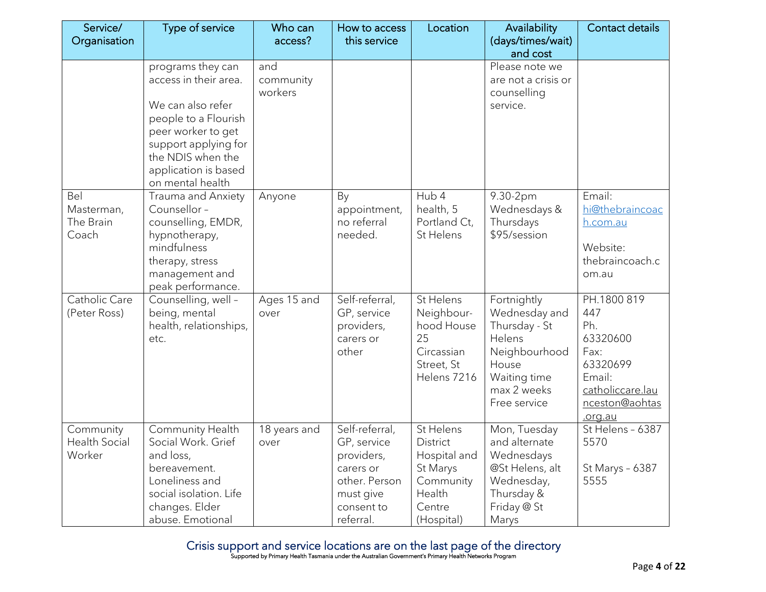| Service/<br>Organisation                    | <b>Type of service</b>                                                                                                                                                                                 | Who can<br>access?          | How to access<br>this service                                                                                     | Location                                                                                         | Availability<br>(days/times/wait)                                                                                                | Contact details                                                                                                      |
|---------------------------------------------|--------------------------------------------------------------------------------------------------------------------------------------------------------------------------------------------------------|-----------------------------|-------------------------------------------------------------------------------------------------------------------|--------------------------------------------------------------------------------------------------|----------------------------------------------------------------------------------------------------------------------------------|----------------------------------------------------------------------------------------------------------------------|
|                                             |                                                                                                                                                                                                        |                             |                                                                                                                   |                                                                                                  | and cost                                                                                                                         |                                                                                                                      |
|                                             | programs they can<br>access in their area.<br>We can also refer<br>people to a Flourish<br>peer worker to get<br>support applying for<br>the NDIS when the<br>application is based<br>on mental health | and<br>community<br>workers |                                                                                                                   |                                                                                                  | Please note we<br>are not a crisis or<br>counselling<br>service.                                                                 |                                                                                                                      |
| Bel<br>Masterman,<br>The Brain<br>Coach     | Trauma and Anxiety<br>Counsellor -<br>counselling, EMDR,<br>hypnotherapy,<br>mindfulness<br>therapy, stress<br>management and<br>peak performance.                                                     | Anyone                      | By<br>appointment,<br>no referral<br>needed.                                                                      | Hub 4<br>health, 5<br>Portland Ct,<br>St Helens                                                  | 9.30-2pm<br>Wednesdays &<br>Thursdays<br>\$95/session                                                                            | Email:<br>hi@thebraincoac<br>h.com.au<br>Website:<br>thebraincoach.c<br>om.au                                        |
| Catholic Care<br>(Peter Ross)               | Counselling, well -<br>being, mental<br>health, relationships,<br>etc.                                                                                                                                 | Ages 15 and<br>over         | Self-referral,<br>GP, service<br>providers,<br>carers or<br>other                                                 | St Helens<br>Neighbour-<br>hood House<br>25<br>Circassian<br>Street, St<br>Helens 7216           | Fortnightly<br>Wednesday and<br>Thursday - St<br>Helens<br>Neighbourhood<br>House<br>Waiting time<br>max 2 weeks<br>Free service | PH.1800 819<br>447<br>Ph.<br>63320600<br>Fax:<br>63320699<br>Email:<br>catholiccare.lau<br>nceston@aohtas<br>.org.au |
| Community<br><b>Health Social</b><br>Worker | Community Health<br>Social Work. Grief<br>and loss,<br>bereavement.<br>Loneliness and<br>social isolation. Life<br>changes. Elder<br>abuse. Emotional                                                  | 18 years and<br>over        | Self-referral,<br>GP, service<br>providers,<br>carers or<br>other. Person<br>must give<br>consent to<br>referral. | St Helens<br>District<br>Hospital and<br>St Marys<br>Community<br>Health<br>Centre<br>(Hospital) | Mon, Tuesday<br>and alternate<br>Wednesdays<br>@St Helens, alt<br>Wednesday,<br>Thursday &<br>Friday @ St<br>Marys               | St Helens - 6387<br>5570<br>St Marys - 6387<br>5555                                                                  |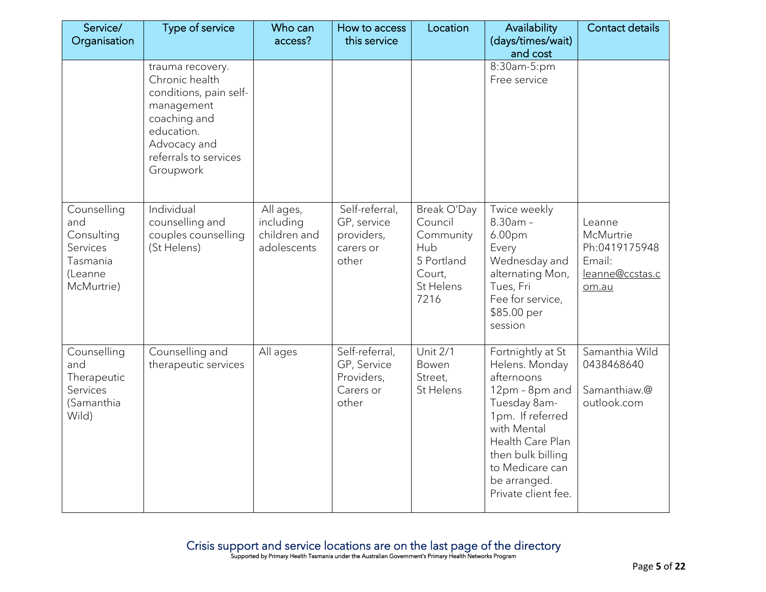| Service/<br>Organisation                                                          | Type of service                                                                                                                                                | Who can<br>access?                                    | How to access<br>this service                                     | Location                                                                                | Availability<br>(days/times/wait)<br>and cost                                                                                                                                                                             | Contact details                                                            |
|-----------------------------------------------------------------------------------|----------------------------------------------------------------------------------------------------------------------------------------------------------------|-------------------------------------------------------|-------------------------------------------------------------------|-----------------------------------------------------------------------------------------|---------------------------------------------------------------------------------------------------------------------------------------------------------------------------------------------------------------------------|----------------------------------------------------------------------------|
|                                                                                   | trauma recovery.<br>Chronic health<br>conditions, pain self-<br>management<br>coaching and<br>education.<br>Advocacy and<br>referrals to services<br>Groupwork |                                                       |                                                                   |                                                                                         | 8:30am-5:pm<br>Free service                                                                                                                                                                                               |                                                                            |
| Counselling<br>and<br>Consulting<br>Services<br>Tasmania<br>(Leanne<br>McMurtrie) | Individual<br>counselling and<br>couples counselling<br>(St Helens)                                                                                            | All ages,<br>including<br>children and<br>adolescents | Self-referral,<br>GP, service<br>providers,<br>carers or<br>other | Break O'Day<br>Council<br>Community<br>Hub<br>5 Portland<br>Court,<br>St Helens<br>7216 | Twice weekly<br>$8.30am -$<br>6.00pm<br>Every<br>Wednesday and<br>alternating Mon,<br>Tues, Fri<br>Fee for service,<br>\$85.00 per<br>session                                                                             | Leanne<br>McMurtrie<br>Ph:0419175948<br>Email:<br>leanne@ccstas.c<br>om.au |
| Counselling<br>and<br>Therapeutic<br>Services<br>(Samanthia<br>Wild)              | Counselling and<br>therapeutic services                                                                                                                        | All ages                                              | Self-referral,<br>GP, Service<br>Providers,<br>Carers or<br>other | <b>Unit 2/1</b><br>Bowen<br>Street,<br>St Helens                                        | Fortnightly at St<br>Helens. Monday<br>afternoons<br>12pm - 8pm and<br>Tuesday 8am-<br>1pm. If referred<br>with Mental<br>Health Care Plan<br>then bulk billing<br>to Medicare can<br>be arranged.<br>Private client fee. | Samanthia Wild<br>0438468640<br>Samanthiaw.@<br>outlook.com                |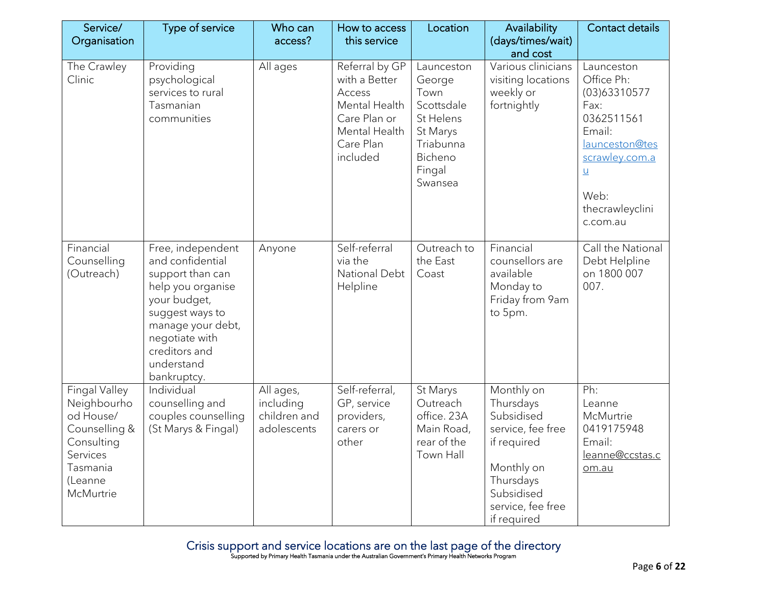| Service/<br>Organisation                                                                                                        | Type of service                                                                                                                                                                                        | Who can<br>access?                                    | How to access<br>this service                                                                                        | Location                                                                                                         | Availability<br>(days/times/wait)                                                                                                                      | <b>Contact details</b>                                                                                                                                              |
|---------------------------------------------------------------------------------------------------------------------------------|--------------------------------------------------------------------------------------------------------------------------------------------------------------------------------------------------------|-------------------------------------------------------|----------------------------------------------------------------------------------------------------------------------|------------------------------------------------------------------------------------------------------------------|--------------------------------------------------------------------------------------------------------------------------------------------------------|---------------------------------------------------------------------------------------------------------------------------------------------------------------------|
|                                                                                                                                 |                                                                                                                                                                                                        |                                                       |                                                                                                                      |                                                                                                                  | and cost                                                                                                                                               |                                                                                                                                                                     |
| The Crawley<br>Clinic                                                                                                           | Providing<br>psychological<br>services to rural<br>Tasmanian<br>communities                                                                                                                            | All ages                                              | Referral by GP<br>with a Better<br>Access<br>Mental Health<br>Care Plan or<br>Mental Health<br>Care Plan<br>included | Launceston<br>George<br>Town<br>Scottsdale<br>St Helens<br>St Marys<br>Triabunna<br>Bicheno<br>Fingal<br>Swansea | Various clinicians<br>visiting locations<br>weekly or<br>fortnightly                                                                                   | Launceston<br>Office Ph:<br>(03)63310577<br>Fax:<br>0362511561<br>Email:<br>launceston@tes<br>scrawley.com.a<br>$\mathsf{u}$<br>Web:<br>thecrawleyclini<br>c.com.au |
| Financial<br>Counselling<br>(Outreach)                                                                                          | Free, independent<br>and confidential<br>support than can<br>help you organise<br>your budget,<br>suggest ways to<br>manage your debt,<br>negotiate with<br>creditors and<br>understand<br>bankruptcy. | Anyone                                                | Self-referral<br>via the<br>National Debt<br>Helpline                                                                | Outreach to<br>the East<br>Coast                                                                                 | Financial<br>counsellors are<br>available<br>Monday to<br>Friday from 9am<br>to 5pm.                                                                   | Call the National<br>Debt Helpline<br>on 1800 007<br>007.                                                                                                           |
| <b>Fingal Valley</b><br>Neighbourho<br>od House/<br>Counselling &<br>Consulting<br>Services<br>Tasmania<br>(Leanne<br>McMurtrie | Individual<br>counselling and<br>couples counselling<br>(St Marys & Fingal)                                                                                                                            | All ages,<br>including<br>children and<br>adolescents | Self-referral,<br>GP, service<br>providers,<br>carers or<br>other                                                    | St Marys<br>Outreach<br>office. 23A<br>Main Road,<br>rear of the<br>Town Hall                                    | Monthly on<br>Thursdays<br>Subsidised<br>service, fee free<br>if required<br>Monthly on<br>Thursdays<br>Subsidised<br>service, fee free<br>if required | Ph:<br>Leanne<br>McMurtrie<br>0419175948<br>Email:<br>leanne@ccstas.c<br>om.au                                                                                      |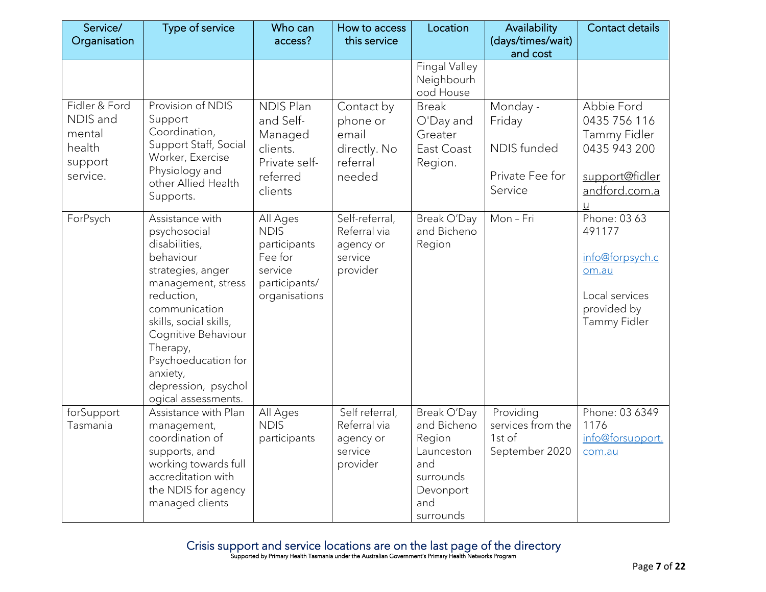| Service/<br>Organisation                                             | Type of service                                                                                                                                                                                                                                                                       | Who can<br>access?                                                                              | How to access<br>this service                                         | Location                                                                                                | Availability<br>(days/times/wait)                                      | <b>Contact details</b>                                                                              |
|----------------------------------------------------------------------|---------------------------------------------------------------------------------------------------------------------------------------------------------------------------------------------------------------------------------------------------------------------------------------|-------------------------------------------------------------------------------------------------|-----------------------------------------------------------------------|---------------------------------------------------------------------------------------------------------|------------------------------------------------------------------------|-----------------------------------------------------------------------------------------------------|
|                                                                      |                                                                                                                                                                                                                                                                                       |                                                                                                 |                                                                       |                                                                                                         | and cost                                                               |                                                                                                     |
|                                                                      |                                                                                                                                                                                                                                                                                       |                                                                                                 |                                                                       | <b>Fingal Valley</b><br>Neighbourh<br>ood House                                                         |                                                                        |                                                                                                     |
| Fidler & Ford<br>NDIS and<br>mental<br>health<br>support<br>service. | Provision of NDIS<br>Support<br>Coordination,<br>Support Staff, Social<br>Worker, Exercise<br>Physiology and<br>other Allied Health<br>Supports.                                                                                                                                      | <b>NDIS Plan</b><br>and Self-<br>Managed<br>clients.<br>Private self-<br>referred<br>clients    | Contact by<br>phone or<br>email<br>directly. No<br>referral<br>needed | <b>Break</b><br>O'Day and<br>Greater<br>East Coast<br>Region.                                           | Monday -<br>Friday<br><b>NDIS</b> funded<br>Private Fee for<br>Service | Abbie Ford<br>0435 756 116<br>Tammy Fidler<br>0435 943 200<br>support@fidler<br>andford.com.a<br>ū  |
| ForPsych                                                             | Assistance with<br>psychosocial<br>disabilities,<br>behaviour<br>strategies, anger<br>management, stress<br>reduction,<br>communication<br>skills, social skills,<br>Cognitive Behaviour<br>Therapy,<br>Psychoeducation for<br>anxiety,<br>depression, psychol<br>ogical assessments. | All Ages<br><b>NDIS</b><br>participants<br>Fee for<br>service<br>participants/<br>organisations | Self-referral,<br>Referral via<br>agency or<br>service<br>provider    | Break O'Day<br>and Bicheno<br>Region                                                                    | Mon-Fri                                                                | Phone: 03 63<br>491177<br>info@forpsych.c<br>om.au<br>Local services<br>provided by<br>Tammy Fidler |
| forSupport<br>Tasmania                                               | Assistance with Plan<br>management,<br>coordination of<br>supports, and<br>working towards full<br>accreditation with<br>the NDIS for agency<br>managed clients                                                                                                                       | All Ages<br><b>NDIS</b><br>participants                                                         | Self referral,<br>Referral via<br>agency or<br>service<br>provider    | Break O'Day<br>and Bicheno<br>Region<br>Launceston<br>and<br>surrounds<br>Devonport<br>and<br>surrounds | Providing<br>services from the<br>1st of<br>September 2020             | Phone: 03 6349<br>1176<br>info@forsupport.<br>com.au                                                |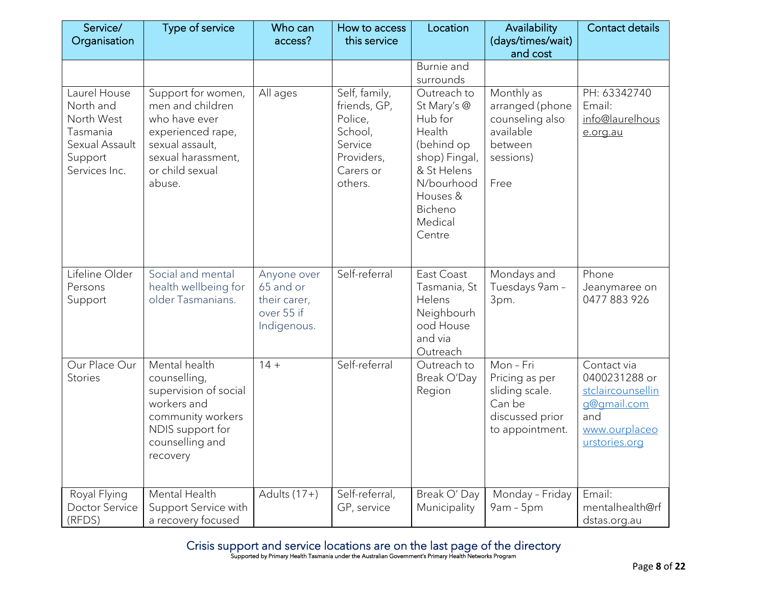| Service/<br>Organisation                                                                          | Type of service                                                                                                                                    | Who can<br>access?                                                    | How to access<br>this service                                                                        | Location                                                                                                                                                | Availability<br>(days/times/wait)                                                             | <b>Contact details</b>                                                                                    |
|---------------------------------------------------------------------------------------------------|----------------------------------------------------------------------------------------------------------------------------------------------------|-----------------------------------------------------------------------|------------------------------------------------------------------------------------------------------|---------------------------------------------------------------------------------------------------------------------------------------------------------|-----------------------------------------------------------------------------------------------|-----------------------------------------------------------------------------------------------------------|
|                                                                                                   |                                                                                                                                                    |                                                                       |                                                                                                      |                                                                                                                                                         | and cost                                                                                      |                                                                                                           |
|                                                                                                   |                                                                                                                                                    |                                                                       |                                                                                                      | Burnie and<br>surrounds                                                                                                                                 |                                                                                               |                                                                                                           |
| Laurel House<br>North and<br>North West<br>Tasmania<br>Sexual Assault<br>Support<br>Services Inc. | Support for women,<br>men and children<br>who have ever<br>experienced rape,<br>sexual assault,<br>sexual harassment,<br>or child sexual<br>abuse. | All ages                                                              | Self, family,<br>friends, GP,<br>Police,<br>School,<br>Service<br>Providers,<br>Carers or<br>others. | Outreach to<br>St Mary's @<br>Hub for<br>Health<br>(behind op<br>shop) Fingal,<br>& St Helens<br>N/bourhood<br>Houses &<br>Bicheno<br>Medical<br>Centre | Monthly as<br>arranged (phone<br>counseling also<br>available<br>between<br>sessions)<br>Free | PH: 63342740<br>Email:<br>info@laurelhous<br>e.org.au                                                     |
| Lifeline Older<br>Persons<br>Support                                                              | Social and mental<br>health wellbeing for<br>older Tasmanians.                                                                                     | Anyone over<br>65 and or<br>their carer,<br>over 55 if<br>Indigenous. | Self-referral                                                                                        | East Coast<br>Tasmania, St<br>Helens<br>Neighbourh<br>ood House<br>and via<br>Outreach                                                                  | Mondays and<br>Tuesdays 9am -<br>3pm.                                                         | Phone<br>Jeanymaree on<br>0477 883 926                                                                    |
| Our Place Our<br><b>Stories</b>                                                                   | Mental health<br>counselling,<br>supervision of social<br>workers and<br>community workers<br>NDIS support for<br>counselling and<br>recovery      | $14 +$                                                                | Self-referral                                                                                        | Outreach to<br>Break O'Day<br>Region                                                                                                                    | $Mon-Fri$<br>Pricing as per<br>sliding scale.<br>Can be<br>discussed prior<br>to appointment. | Contact via<br>0400231288 or<br>stclaircounsellin<br>g@gmail.com<br>and<br>www.ourplaceo<br>urstories.org |
| Royal Flying<br>Doctor Service<br>(RFDS)                                                          | Mental Health<br>Support Service with<br>a recovery focused                                                                                        | Adults $(17+)$                                                        | Self-referral,<br>GP, service                                                                        | Break O' Day<br>Municipality                                                                                                                            | Monday - Friday<br>$9am - 5pm$                                                                | Email:<br>mentalhealth@rf<br>dstas.org.au                                                                 |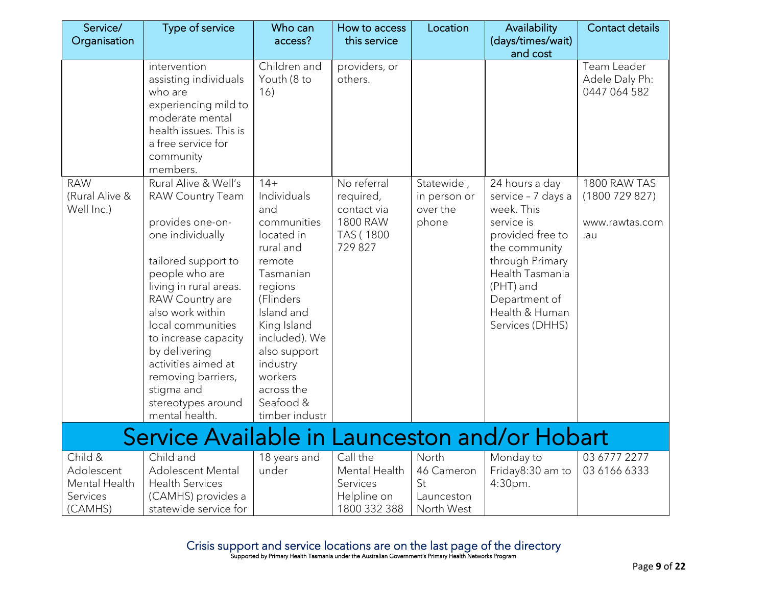| Service/<br>Organisation                                      | Type of service                                                                                                                                                                                                                                                                                                                                                    | Who can<br>access?                                                                                                                                                                                                                                     | How to access<br>this service                                               | Location                                              | Availability<br>(days/times/wait)                                                                                                                                                                              | <b>Contact details</b>                                |
|---------------------------------------------------------------|--------------------------------------------------------------------------------------------------------------------------------------------------------------------------------------------------------------------------------------------------------------------------------------------------------------------------------------------------------------------|--------------------------------------------------------------------------------------------------------------------------------------------------------------------------------------------------------------------------------------------------------|-----------------------------------------------------------------------------|-------------------------------------------------------|----------------------------------------------------------------------------------------------------------------------------------------------------------------------------------------------------------------|-------------------------------------------------------|
|                                                               | intervention<br>assisting individuals<br>who are<br>experiencing mild to<br>moderate mental<br>health issues. This is<br>a free service for<br>community<br>members.                                                                                                                                                                                               | Children and<br>Youth (8 to<br>16)                                                                                                                                                                                                                     | providers, or<br>others.                                                    |                                                       | and cost                                                                                                                                                                                                       | Team Leader<br>Adele Daly Ph:<br>0447 064 582         |
| <b>RAW</b><br>(Rural Alive &<br>Well Inc.)                    | Rural Alive & Well's<br><b>RAW Country Team</b><br>provides one-on-<br>one individually<br>tailored support to<br>people who are<br>living in rural areas.<br>RAW Country are<br>also work within<br>local communities<br>to increase capacity<br>by delivering<br>activities aimed at<br>removing barriers,<br>stigma and<br>stereotypes around<br>mental health. | $14+$<br>Individuals<br>and<br>communities<br>located in<br>rural and<br>remote<br>Tasmanian<br>regions<br>(Flinders<br>Island and<br>King Island<br>included). We<br>also support<br>industry<br>workers<br>across the<br>Seafood &<br>timber industr | No referral<br>required,<br>contact via<br>1800 RAW<br>TAS (1800<br>729 827 | Statewide,<br>in person or<br>over the<br>phone       | 24 hours a day<br>service - 7 days a<br>week. This<br>service is<br>provided free to<br>the community<br>through Primary<br>Health Tasmania<br>(PHT) and<br>Department of<br>Health & Human<br>Services (DHHS) | 1800 RAW TAS<br>(1800729827)<br>www.rawtas.com<br>.au |
|                                                               | Service Available in Launceston and/or Hobart                                                                                                                                                                                                                                                                                                                      |                                                                                                                                                                                                                                                        |                                                                             |                                                       |                                                                                                                                                                                                                |                                                       |
| Child &<br>Adolescent<br>Mental Health<br>Services<br>(CAMHS) | Child and<br><b>Adolescent Mental</b><br><b>Health Services</b><br>(CAMHS) provides a<br>statewide service for                                                                                                                                                                                                                                                     | 18 years and<br>under                                                                                                                                                                                                                                  | Call the<br>Mental Health<br>Services<br>Helpline on<br>1800 332 388        | North<br>46 Cameron<br>St<br>Launceston<br>North West | Monday to<br>Friday8:30 am to<br>4:30pm.                                                                                                                                                                       | 03 6777 2277<br>03 6166 6333                          |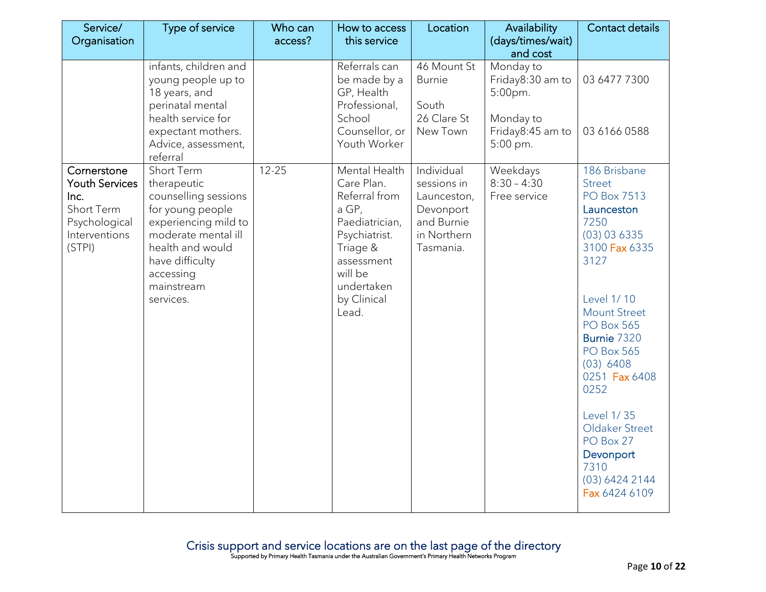| Service/                                                                                               | Type of service                                                                                                                                                                                     | Who can   | How to access                                                                                                                                                       | Location                                                                                        | Availability                                             | Contact details                                                                                                                                                                                                                                                                                                                                                    |
|--------------------------------------------------------------------------------------------------------|-----------------------------------------------------------------------------------------------------------------------------------------------------------------------------------------------------|-----------|---------------------------------------------------------------------------------------------------------------------------------------------------------------------|-------------------------------------------------------------------------------------------------|----------------------------------------------------------|--------------------------------------------------------------------------------------------------------------------------------------------------------------------------------------------------------------------------------------------------------------------------------------------------------------------------------------------------------------------|
| Organisation                                                                                           |                                                                                                                                                                                                     | access?   | this service                                                                                                                                                        |                                                                                                 | (days/times/wait)<br>and cost                            |                                                                                                                                                                                                                                                                                                                                                                    |
|                                                                                                        | infants, children and<br>young people up to<br>18 years, and<br>perinatal mental<br>health service for                                                                                              |           | Referrals can<br>be made by a<br>GP, Health<br>Professional,<br>School                                                                                              | 46 Mount St<br><b>Burnie</b><br>South<br>26 Clare St                                            | Monday to<br>Friday8:30 am to<br>$5:00$ pm.<br>Monday to | 03 6477 7300                                                                                                                                                                                                                                                                                                                                                       |
|                                                                                                        | expectant mothers.<br>Advice, assessment,<br>referral                                                                                                                                               |           | Counsellor, or<br>Youth Worker                                                                                                                                      | New Town                                                                                        | Friday8:45 am to<br>5:00 pm.                             | 03 6166 0588                                                                                                                                                                                                                                                                                                                                                       |
| Cornerstone<br><b>Youth Services</b><br>Inc.<br>Short Term<br>Psychological<br>Interventions<br>(STPI) | Short Term<br>therapeutic<br>counselling sessions<br>for young people<br>experiencing mild to<br>moderate mental ill<br>health and would<br>have difficulty<br>accessing<br>mainstream<br>services. | $12 - 25$ | Mental Health<br>Care Plan.<br>Referral from<br>a GP,<br>Paediatrician,<br>Psychiatrist.<br>Triage &<br>assessment<br>will be<br>undertaken<br>by Clinical<br>Lead. | Individual<br>sessions in<br>Launceston,<br>Devonport<br>and Burnie<br>in Northern<br>Tasmania. | Weekdays<br>$8:30 - 4:30$<br>Free service                | 186 Brisbane<br><b>Street</b><br><b>PO Box 7513</b><br>Launceston<br>7250<br>(03) 03 6335<br>3100 Fax 6335<br>3127<br>Level 1/10<br><b>Mount Street</b><br><b>PO Box 565</b><br>Burnie 7320<br><b>PO Box 565</b><br>(03) 6408<br>0251 Fax 6408<br>0252<br><b>Level 1/35</b><br>Oldaker Street<br>PO Box 27<br>Devonport<br>7310<br>(03) 6424 2144<br>Fax 6424 6109 |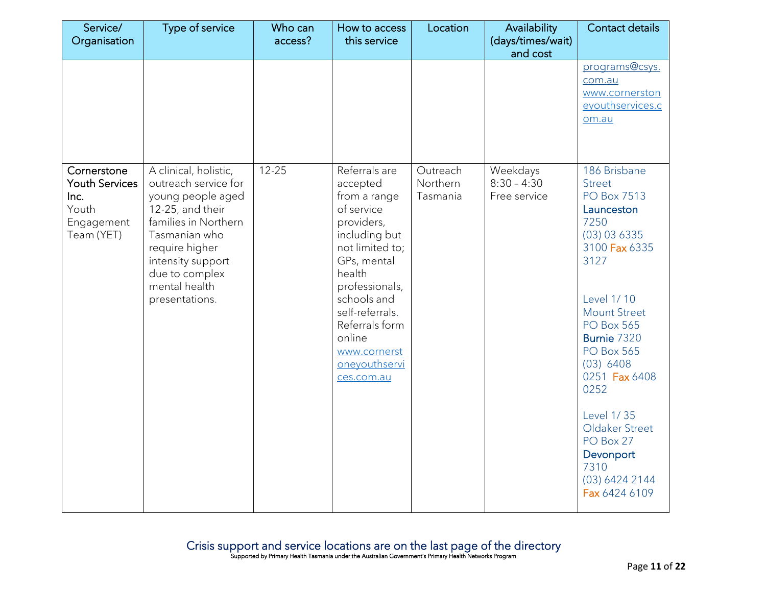| Service/<br>Organisation                                                          | Type of service                                                                                                                                                                                                             | Who can<br>access? | How to access<br>this service                                                                                                                                                                                                                                     | Location                         | Availability<br>(days/times/wait)         | Contact details                                                                                                                                                                                                                                                                                                                                             |
|-----------------------------------------------------------------------------------|-----------------------------------------------------------------------------------------------------------------------------------------------------------------------------------------------------------------------------|--------------------|-------------------------------------------------------------------------------------------------------------------------------------------------------------------------------------------------------------------------------------------------------------------|----------------------------------|-------------------------------------------|-------------------------------------------------------------------------------------------------------------------------------------------------------------------------------------------------------------------------------------------------------------------------------------------------------------------------------------------------------------|
|                                                                                   |                                                                                                                                                                                                                             |                    |                                                                                                                                                                                                                                                                   |                                  | and cost                                  | programs@csys.<br>com.au<br>www.cornerston<br>eyouthservices.c<br>om.au                                                                                                                                                                                                                                                                                     |
| Cornerstone<br><b>Youth Services</b><br>Inc.<br>Youth<br>Engagement<br>Team (YET) | A clinical, holistic,<br>outreach service for<br>young people aged<br>12-25, and their<br>families in Northern<br>Tasmanian who<br>require higher<br>intensity support<br>due to complex<br>mental health<br>presentations. | $12 - 25$          | Referrals are<br>accepted<br>from a range<br>of service<br>providers,<br>including but<br>not limited to;<br>GPs, mental<br>health<br>professionals,<br>schools and<br>self-referrals.<br>Referrals form<br>online<br>www.cornerst<br>oneyouthservi<br>ces.com.au | Outreach<br>Northern<br>Tasmania | Weekdays<br>$8:30 - 4:30$<br>Free service | 186 Brisbane<br><b>Street</b><br><b>PO Box 7513</b><br>Launceston<br>7250<br>(03) 03 6335<br>3100 Fax 6335<br>3127<br>Level 1/10<br><b>Mount Street</b><br><b>PO Box 565</b><br>Burnie 7320<br><b>PO Box 565</b><br>(03) 6408<br>0251 Fax 6408<br>0252<br>Level 1/35<br>Oldaker Street<br>PO Box 27<br>Devonport<br>7310<br>(03) 6424 2144<br>Fax 6424 6109 |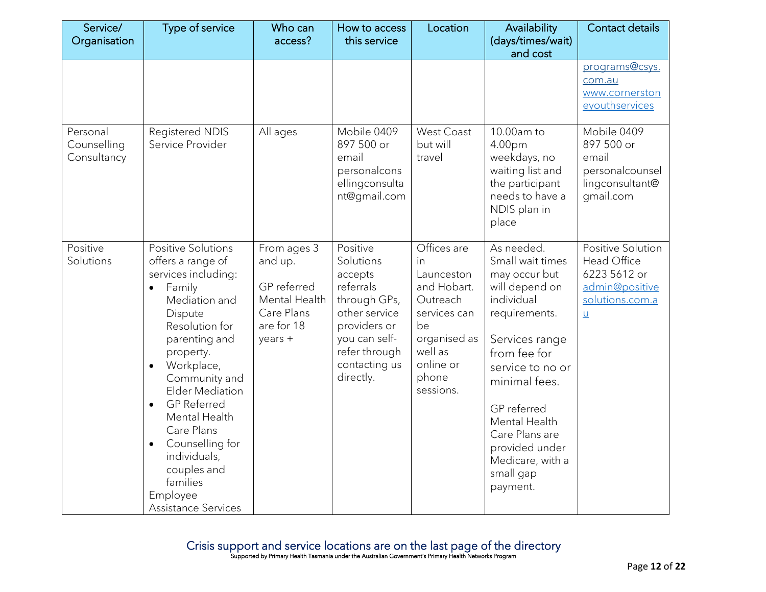| Service/<br>Organisation               | Type of service                                                                                                                                                                                                                                                                                                                                                                                             | Who can<br>access?                                                                            | How to access<br>this service                                                                                                                                  | Location                                                                                                                                       | Availability<br>(days/times/wait)<br>and cost                                                                                                                                                                                                                                            | <b>Contact details</b>                                                                                   |
|----------------------------------------|-------------------------------------------------------------------------------------------------------------------------------------------------------------------------------------------------------------------------------------------------------------------------------------------------------------------------------------------------------------------------------------------------------------|-----------------------------------------------------------------------------------------------|----------------------------------------------------------------------------------------------------------------------------------------------------------------|------------------------------------------------------------------------------------------------------------------------------------------------|------------------------------------------------------------------------------------------------------------------------------------------------------------------------------------------------------------------------------------------------------------------------------------------|----------------------------------------------------------------------------------------------------------|
|                                        |                                                                                                                                                                                                                                                                                                                                                                                                             |                                                                                               |                                                                                                                                                                |                                                                                                                                                |                                                                                                                                                                                                                                                                                          | programs@csys.<br>com.au<br>www.cornerston<br>eyouthservices                                             |
| Personal<br>Counselling<br>Consultancy | Registered NDIS<br>Service Provider                                                                                                                                                                                                                                                                                                                                                                         | All ages                                                                                      | Mobile 0409<br>897 500 or<br>email<br>personalcons<br>ellingconsulta<br>nt@gmail.com                                                                           | <b>West Coast</b><br>but will<br>travel                                                                                                        | 10.00am to<br>4.00pm<br>weekdays, no<br>waiting list and<br>the participant<br>needs to have a<br>NDIS plan in<br>place                                                                                                                                                                  | Mobile 0409<br>897 500 or<br>email<br>personalcounsel<br>lingconsultant@<br>gmail.com                    |
| Positive<br>Solutions                  | <b>Positive Solutions</b><br>offers a range of<br>services including:<br>Family<br>$\bullet$<br>Mediation and<br>Dispute<br>Resolution for<br>parenting and<br>property.<br>Workplace,<br>Community and<br><b>Elder Mediation</b><br><b>GP Referred</b><br>$\bullet$<br>Mental Health<br>Care Plans<br>Counselling for<br>individuals,<br>couples and<br>families<br>Employee<br><b>Assistance Services</b> | From ages 3<br>and up.<br>GP referred<br>Mental Health<br>Care Plans<br>are for 18<br>years + | Positive<br>Solutions<br>accepts<br>referrals<br>through GPs,<br>other service<br>providers or<br>you can self-<br>refer through<br>contacting us<br>directly. | Offices are<br>in<br>Launceston<br>and Hobart.<br>Outreach<br>services can<br>be<br>organised as<br>well as<br>online or<br>phone<br>sessions. | As needed.<br>Small wait times<br>may occur but<br>will depend on<br>individual<br>requirements.<br>Services range<br>from fee for<br>service to no or<br>minimal fees.<br>GP referred<br>Mental Health<br>Care Plans are<br>provided under<br>Medicare, with a<br>small gap<br>payment. | Positive Solution<br>Head Office<br>6223 5612 or<br>admin@positive<br>solutions.com.a<br>$\underline{u}$ |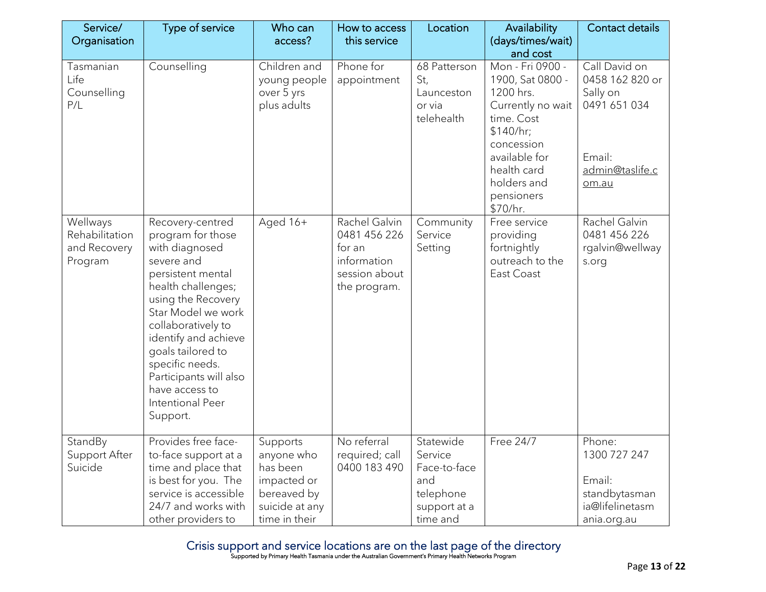| Service/<br>Organisation                              | Type of service                                                                                                                                                                                                                                                                                                                | Who can<br>access?                                                                                  | How to access<br>this service                                                           | Location                                                                             | Availability<br>(days/times/wait)                                                                                                                                                                    | Contact details                                                                                    |
|-------------------------------------------------------|--------------------------------------------------------------------------------------------------------------------------------------------------------------------------------------------------------------------------------------------------------------------------------------------------------------------------------|-----------------------------------------------------------------------------------------------------|-----------------------------------------------------------------------------------------|--------------------------------------------------------------------------------------|------------------------------------------------------------------------------------------------------------------------------------------------------------------------------------------------------|----------------------------------------------------------------------------------------------------|
| Tasmanian<br>Life<br>Counselling<br>P/L               | Counselling                                                                                                                                                                                                                                                                                                                    | Children and<br>young people<br>over 5 yrs<br>plus adults                                           | Phone for<br>appointment                                                                | 68 Patterson<br>St,<br>Launceston<br>or via<br>telehealth                            | and cost<br>Mon - Fri 0900 -<br>1900, Sat 0800 -<br>1200 hrs.<br>Currently no wait<br>time. Cost<br>\$140/hr;<br>concession<br>available for<br>health card<br>holders and<br>pensioners<br>\$70/hr. | Call David on<br>0458 162 820 or<br>Sally on<br>0491 651 034<br>Email:<br>admin@taslife.c<br>om.au |
| Wellways<br>Rehabilitation<br>and Recovery<br>Program | Recovery-centred<br>program for those<br>with diagnosed<br>severe and<br>persistent mental<br>health challenges;<br>using the Recovery<br>Star Model we work<br>collaboratively to<br>identify and achieve<br>goals tailored to<br>specific needs.<br>Participants will also<br>have access to<br>Intentional Peer<br>Support. | Aged 16+                                                                                            | Rachel Galvin<br>0481 456 226<br>for an<br>information<br>session about<br>the program. | Community<br>Service<br>Setting                                                      | Free service<br>providing<br>fortnightly<br>outreach to the<br>East Coast                                                                                                                            | Rachel Galvin<br>0481 456 226<br>rgalvin@wellway<br>s.org                                          |
| StandBy<br>Support After<br>Suicide                   | Provides free face-<br>to-face support at a<br>time and place that<br>is best for you. The<br>service is accessible<br>24/7 and works with<br>other providers to                                                                                                                                                               | Supports<br>anyone who<br>has been<br>impacted or<br>bereaved by<br>suicide at any<br>time in their | No referral<br>required; call<br>0400 183 490                                           | Statewide<br>Service<br>Face-to-face<br>and<br>telephone<br>support at a<br>time and | Free 24/7                                                                                                                                                                                            | Phone:<br>1300 727 247<br>Email:<br>standbytasman<br>ia@lifelinetasm<br>ania.org.au                |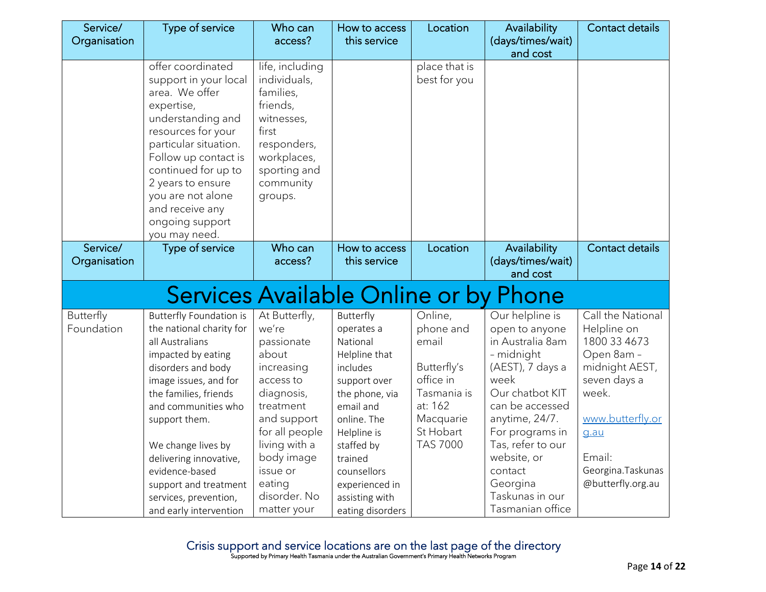| Service/<br>Organisation | Type of service                                                                                                                                                                                                                                                                                                                                                   | Who can<br>access?                                                                                                                                                                                                       | How to access<br>this service                                                                                                                                                                                                                 | Location                                                                                                                         | Availability<br>(days/times/wait)                                                                                                                                                                                                                                            | Contact details                                                                                                                                                                            |
|--------------------------|-------------------------------------------------------------------------------------------------------------------------------------------------------------------------------------------------------------------------------------------------------------------------------------------------------------------------------------------------------------------|--------------------------------------------------------------------------------------------------------------------------------------------------------------------------------------------------------------------------|-----------------------------------------------------------------------------------------------------------------------------------------------------------------------------------------------------------------------------------------------|----------------------------------------------------------------------------------------------------------------------------------|------------------------------------------------------------------------------------------------------------------------------------------------------------------------------------------------------------------------------------------------------------------------------|--------------------------------------------------------------------------------------------------------------------------------------------------------------------------------------------|
|                          |                                                                                                                                                                                                                                                                                                                                                                   |                                                                                                                                                                                                                          |                                                                                                                                                                                                                                               |                                                                                                                                  | and cost                                                                                                                                                                                                                                                                     |                                                                                                                                                                                            |
|                          | offer coordinated<br>support in your local<br>area. We offer<br>expertise,<br>understanding and<br>resources for your<br>particular situation.<br>Follow up contact is<br>continued for up to<br>2 years to ensure<br>you are not alone<br>and receive any<br>ongoing support<br>you may need.                                                                    | life, including<br>individuals,<br>families,<br>friends,<br>witnesses,<br>first<br>responders,<br>workplaces,<br>sporting and<br>community<br>groups.                                                                    |                                                                                                                                                                                                                                               | place that is<br>best for you                                                                                                    |                                                                                                                                                                                                                                                                              |                                                                                                                                                                                            |
| Service/                 | Type of service                                                                                                                                                                                                                                                                                                                                                   | Who can                                                                                                                                                                                                                  | How to access                                                                                                                                                                                                                                 | Location                                                                                                                         | Availability                                                                                                                                                                                                                                                                 | <b>Contact details</b>                                                                                                                                                                     |
| Organisation             |                                                                                                                                                                                                                                                                                                                                                                   | access?                                                                                                                                                                                                                  | this service                                                                                                                                                                                                                                  |                                                                                                                                  | (days/times/wait)<br>and cost                                                                                                                                                                                                                                                |                                                                                                                                                                                            |
|                          | Services Available Online or by Phone                                                                                                                                                                                                                                                                                                                             |                                                                                                                                                                                                                          |                                                                                                                                                                                                                                               |                                                                                                                                  |                                                                                                                                                                                                                                                                              |                                                                                                                                                                                            |
| Butterfly<br>Foundation  | <b>Butterfly Foundation is</b><br>the national charity for<br>all Australians<br>impacted by eating<br>disorders and body<br>image issues, and for<br>the families, friends<br>and communities who<br>support them.<br>We change lives by<br>delivering innovative,<br>evidence-based<br>support and treatment<br>services, prevention,<br>and early intervention | At Butterfly,<br>we're<br>passionate<br>about<br>increasing<br>access to<br>diagnosis,<br>treatment<br>and support<br>for all people<br>living with a<br>body image<br>issue or<br>eating<br>disorder. No<br>matter your | Butterfly<br>operates a<br>National<br>Helpline that<br>includes<br>support over<br>the phone, via<br>email and<br>online. The<br>Helpline is<br>staffed by<br>trained<br>counsellors<br>experienced in<br>assisting with<br>eating disorders | Online,<br>phone and<br>email<br>Butterfly's<br>office in<br>Tasmania is<br>at: 162<br>Macquarie<br>St Hobart<br><b>TAS 7000</b> | Our helpline is<br>open to anyone<br>in Australia 8am<br>- midnight<br>(AEST), 7 days a<br>week<br>Our chatbot KIT<br>can be accessed<br>anytime, 24/7.<br>For programs in<br>Tas, refer to our<br>website, or<br>contact<br>Georgina<br>Taskunas in our<br>Tasmanian office | Call the National<br>Helpline on<br>1800 33 4673<br>Open 8am -<br>midnight AEST,<br>seven days a<br>week.<br>www.butterfly.or<br>g.au<br>Email:<br>Georgina. Taskunas<br>@butterfly.org.au |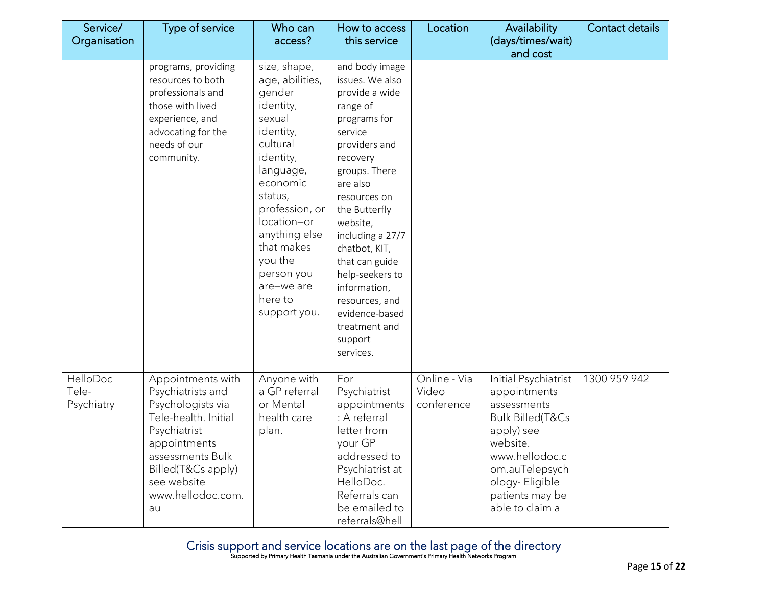| Service/<br>Organisation        | Type of service                                                                                                                                                                                         | Who can<br>access?                                                                                                                                                                                                                                                           | How to access<br>this service                                                                                                                                                                                                                                                                                                                                            | Location                            | Availability<br>(days/times/wait)                                                                                                                                                                        | Contact details |
|---------------------------------|---------------------------------------------------------------------------------------------------------------------------------------------------------------------------------------------------------|------------------------------------------------------------------------------------------------------------------------------------------------------------------------------------------------------------------------------------------------------------------------------|--------------------------------------------------------------------------------------------------------------------------------------------------------------------------------------------------------------------------------------------------------------------------------------------------------------------------------------------------------------------------|-------------------------------------|----------------------------------------------------------------------------------------------------------------------------------------------------------------------------------------------------------|-----------------|
|                                 |                                                                                                                                                                                                         |                                                                                                                                                                                                                                                                              |                                                                                                                                                                                                                                                                                                                                                                          |                                     | and cost                                                                                                                                                                                                 |                 |
|                                 | programs, providing<br>resources to both<br>professionals and<br>those with lived<br>experience, and<br>advocating for the<br>needs of our<br>community.                                                | size, shape,<br>age, abilities,<br>gender<br>identity,<br>sexual<br>identity,<br>cultural<br>identity,<br>language,<br>economic<br>status,<br>profession, or<br>location-or<br>anything else<br>that makes<br>you the<br>person you<br>are-we are<br>here to<br>support you. | and body image<br>issues. We also<br>provide a wide<br>range of<br>programs for<br>service<br>providers and<br>recovery<br>groups. There<br>are also<br>resources on<br>the Butterfly<br>website,<br>including a 27/7<br>chatbot, KIT,<br>that can guide<br>help-seekers to<br>information,<br>resources, and<br>evidence-based<br>treatment and<br>support<br>services. |                                     |                                                                                                                                                                                                          |                 |
| HelloDoc<br>Tele-<br>Psychiatry | Appointments with<br>Psychiatrists and<br>Psychologists via<br>Tele-health. Initial<br>Psychiatrist<br>appointments<br>assessments Bulk<br>Billed(T&Cs apply)<br>see website<br>www.hellodoc.com.<br>au | Anyone with<br>a GP referral<br>or Mental<br>health care<br>plan.                                                                                                                                                                                                            | For<br>Psychiatrist<br>appointments<br>: A referral<br>letter from<br>your GP<br>addressed to<br>Psychiatrist at<br>HelloDoc.<br>Referrals can<br>be emailed to<br>referrals@hell                                                                                                                                                                                        | Online - Via<br>Video<br>conference | Initial Psychiatrist<br>appointments<br>assessments<br><b>Bulk Billed(T&amp;Cs</b><br>apply) see<br>website.<br>www.hellodoc.c<br>om.auTelepsych<br>ology-Eligible<br>patients may be<br>able to claim a | 1300 959 942    |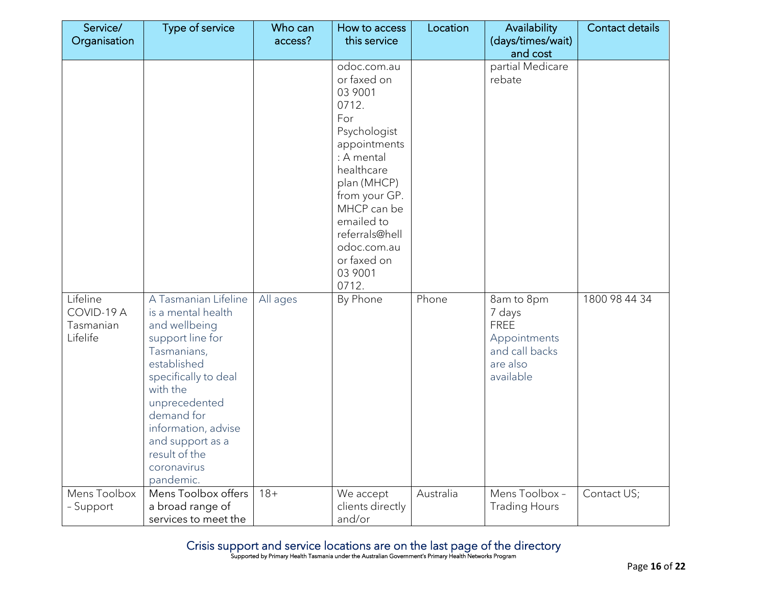| Service/                                        | Type of service                                                                                                                                                                                                                                                          | Who can  | How to access                                                                                                                                                                                                                                      | Location  | Availability                                                                                   | <b>Contact details</b> |
|-------------------------------------------------|--------------------------------------------------------------------------------------------------------------------------------------------------------------------------------------------------------------------------------------------------------------------------|----------|----------------------------------------------------------------------------------------------------------------------------------------------------------------------------------------------------------------------------------------------------|-----------|------------------------------------------------------------------------------------------------|------------------------|
| Organisation                                    |                                                                                                                                                                                                                                                                          | access?  | this service                                                                                                                                                                                                                                       |           | (days/times/wait)<br>and cost                                                                  |                        |
|                                                 |                                                                                                                                                                                                                                                                          |          | odoc.com.au<br>or faxed on<br>03 9001<br>0712.<br>For<br>Psychologist<br>appointments<br>: A mental<br>healthcare<br>plan (MHCP)<br>from your GP.<br>MHCP can be<br>emailed to<br>referrals@hell<br>odoc.com.au<br>or faxed on<br>03 9001<br>0712. |           | partial Medicare<br>rebate                                                                     |                        |
| Lifeline<br>COVID-19 A<br>Tasmanian<br>Lifelife | A Tasmanian Lifeline<br>is a mental health<br>and wellbeing<br>support line for<br>Tasmanians,<br>established<br>specifically to deal<br>with the<br>unprecedented<br>demand for<br>information, advise<br>and support as a<br>result of the<br>coronavirus<br>pandemic. | All ages | By Phone                                                                                                                                                                                                                                           | Phone     | 8am to 8pm<br>7 days<br><b>FREE</b><br>Appointments<br>and call backs<br>are also<br>available | 1800 98 44 34          |
| Mens Toolbox<br>- Support                       | Mens Toolbox offers<br>a broad range of<br>services to meet the                                                                                                                                                                                                          | $18 +$   | We accept<br>clients directly<br>and/or                                                                                                                                                                                                            | Australia | Mens Toolbox -<br><b>Trading Hours</b>                                                         | Contact US;            |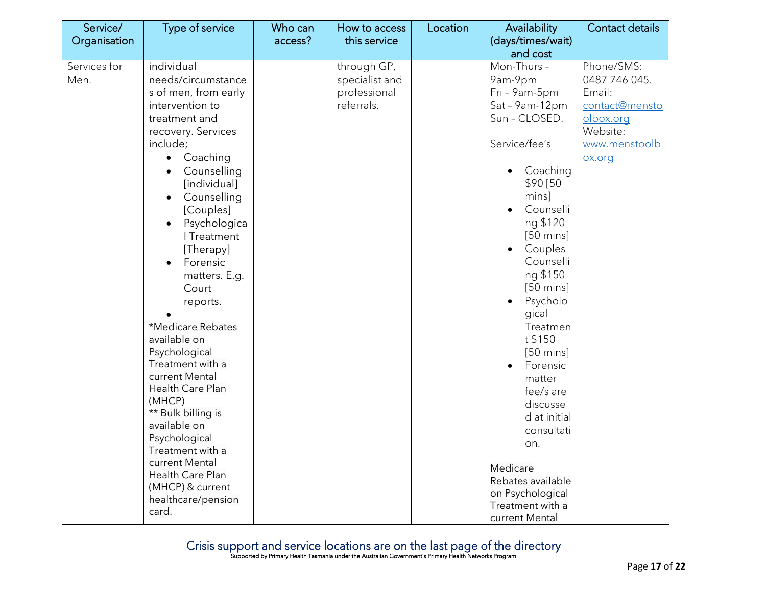| Service/             | Type of service                                                                                                                                                                                                                                                                                                                                                                                                                                                                                                                                                                                                                          | Who can | How to access                                               | Location | Availability                                                                                                                                                                                                                                                                                                                                                                                                                                                                                           | Contact details                                                                                             |
|----------------------|------------------------------------------------------------------------------------------------------------------------------------------------------------------------------------------------------------------------------------------------------------------------------------------------------------------------------------------------------------------------------------------------------------------------------------------------------------------------------------------------------------------------------------------------------------------------------------------------------------------------------------------|---------|-------------------------------------------------------------|----------|--------------------------------------------------------------------------------------------------------------------------------------------------------------------------------------------------------------------------------------------------------------------------------------------------------------------------------------------------------------------------------------------------------------------------------------------------------------------------------------------------------|-------------------------------------------------------------------------------------------------------------|
| Organisation         |                                                                                                                                                                                                                                                                                                                                                                                                                                                                                                                                                                                                                                          | access? | this service                                                |          | (days/times/wait)<br>and cost                                                                                                                                                                                                                                                                                                                                                                                                                                                                          |                                                                                                             |
| Services for<br>Men. | individual<br>needs/circumstance<br>s of men, from early<br>intervention to<br>treatment and<br>recovery. Services<br>include;<br>Coaching<br>$\bullet$<br>Counselling<br>[individual]<br>Counselling<br>$\bullet$<br>[Couples]<br>Psychologica<br>$\bullet$<br>I Treatment<br>[Therapy]<br>Forensic<br>matters. E.g.<br>Court<br>reports.<br>*Medicare Rebates<br>available on<br>Psychological<br>Treatment with a<br>current Mental<br>Health Care Plan<br>(MHCP)<br>** Bulk billing is<br>available on<br>Psychological<br>Treatment with a<br>current Mental<br>Health Care Plan<br>(MHCP) & current<br>healthcare/pension<br>card. |         | through GP,<br>specialist and<br>professional<br>referrals. |          | Mon-Thurs -<br>9am-9pm<br>Fri - 9am-5pm<br>Sat - 9am-12pm<br>Sun - CLOSED.<br>Service/fee's<br>Coaching<br>\$90 [50<br>mins]<br>Counselli<br>ng \$120<br>$[50 \text{ mins}]$<br>Couples<br>Counselli<br>ng \$150<br>$[50 \text{ mins}]$<br>Psycholo<br>$\bullet$<br>gical<br>Treatmen<br>t \$150<br>$[50 \text{ mins}]$<br>Forensic<br>matter<br>fee/s are<br>discusse<br>d at initial<br>consultati<br>on.<br>Medicare<br>Rebates available<br>on Psychological<br>Treatment with a<br>current Mental | Phone/SMS:<br>0487 746 045.<br>Email:<br>contact@mensto<br>olbox.org<br>Website:<br>www.menstoolb<br>ox.org |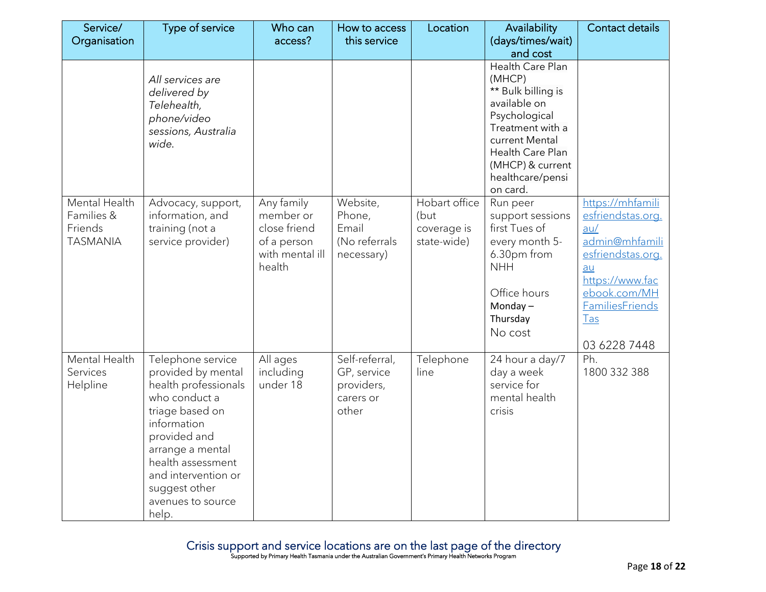| Service/        | Type of service                  | Who can         | How to access  | Location      | Availability                         | <b>Contact details</b>          |
|-----------------|----------------------------------|-----------------|----------------|---------------|--------------------------------------|---------------------------------|
| Organisation    |                                  | access?         | this service   |               | (days/times/wait)                    |                                 |
|                 |                                  |                 |                |               | and cost<br>Health Care Plan         |                                 |
|                 | All services are                 |                 |                |               | (MHCP)                               |                                 |
|                 | delivered by                     |                 |                |               | ** Bulk billing is                   |                                 |
|                 | Telehealth,                      |                 |                |               | available on                         |                                 |
|                 | phone/video                      |                 |                |               | Psychological                        |                                 |
|                 | sessions, Australia              |                 |                |               | Treatment with a                     |                                 |
|                 | wide.                            |                 |                |               | current Mental                       |                                 |
|                 |                                  |                 |                |               | Health Care Plan                     |                                 |
|                 |                                  |                 |                |               | (MHCP) & current<br>healthcare/pensi |                                 |
|                 |                                  |                 |                |               | on card.                             |                                 |
| Mental Health   | Advocacy, support,               | Any family      | Website,       | Hobart office | Run peer                             | https://mhfamili                |
| Families &      | information, and                 | member or       | Phone,         | (but          | support sessions                     | esfriendstas.org.               |
| Friends         | training (not a                  | close friend    | Email          | coverage is   | first Tues of                        | au/                             |
| <b>TASMANIA</b> | service provider)                | of a person     | (No referrals  | state-wide)   | every month 5-                       | admin@mhfamili                  |
|                 |                                  | with mental ill | necessary)     |               | 6.30pm from                          | esfriendstas.org.               |
|                 |                                  | health          |                |               | <b>NHH</b>                           | au                              |
|                 |                                  |                 |                |               | Office hours                         | https://www.fac<br>ebook.com/MH |
|                 |                                  |                 |                |               | Monday $-$                           | <b>FamiliesFriends</b>          |
|                 |                                  |                 |                |               | Thursday                             | <b>Tas</b>                      |
|                 |                                  |                 |                |               | No cost                              |                                 |
|                 |                                  |                 |                |               |                                      | 03 6228 7448                    |
| Mental Health   | Telephone service                | All ages        | Self-referral, | Telephone     | 24 hour a day/7                      | Ph.                             |
| Services        | provided by mental               | including       | GP, service    | line          | day a week                           | 1800 332 388                    |
| Helpline        | health professionals             | under 18        | providers,     |               | service for                          |                                 |
|                 | who conduct a                    |                 | carers or      |               | mental health                        |                                 |
|                 | triage based on                  |                 | other          |               | crisis                               |                                 |
|                 | information                      |                 |                |               |                                      |                                 |
|                 | provided and<br>arrange a mental |                 |                |               |                                      |                                 |
|                 | health assessment                |                 |                |               |                                      |                                 |
|                 | and intervention or              |                 |                |               |                                      |                                 |
|                 | suggest other                    |                 |                |               |                                      |                                 |
|                 | avenues to source                |                 |                |               |                                      |                                 |
|                 | help.                            |                 |                |               |                                      |                                 |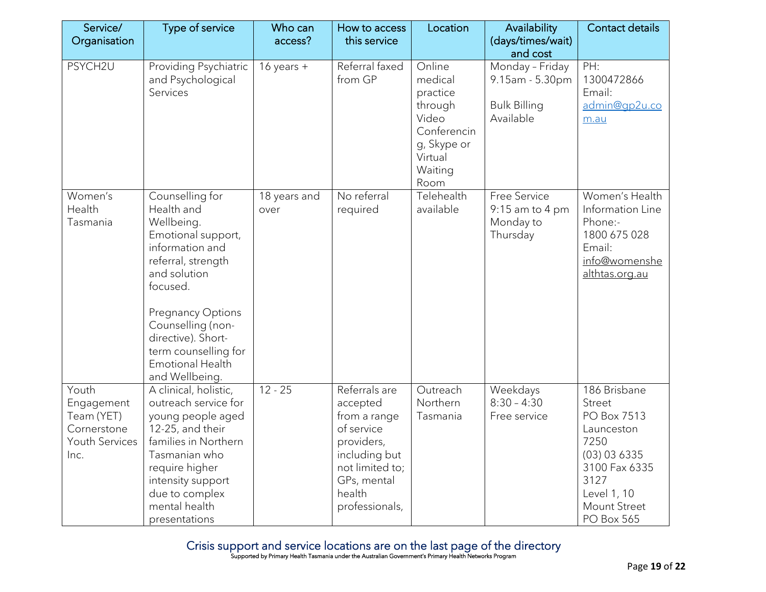| Service/<br>Organisation                                                   | Type of service                                                                                                                                                                                                                                                             | Who can<br>access?   | How to access<br>this service                                                                                                                        | Location                                                                                                      | Availability<br>(days/times/wait)                                      | <b>Contact details</b>                                                                                                                                          |
|----------------------------------------------------------------------------|-----------------------------------------------------------------------------------------------------------------------------------------------------------------------------------------------------------------------------------------------------------------------------|----------------------|------------------------------------------------------------------------------------------------------------------------------------------------------|---------------------------------------------------------------------------------------------------------------|------------------------------------------------------------------------|-----------------------------------------------------------------------------------------------------------------------------------------------------------------|
|                                                                            |                                                                                                                                                                                                                                                                             |                      |                                                                                                                                                      |                                                                                                               | and cost                                                               |                                                                                                                                                                 |
| PSYCH2U                                                                    | Providing Psychiatric<br>and Psychological<br>Services                                                                                                                                                                                                                      | 16 years $+$         | Referral faxed<br>from GP                                                                                                                            | Online<br>medical<br>practice<br>through<br>Video<br>Conferencin<br>g, Skype or<br>Virtual<br>Waiting<br>Room | Monday - Friday<br>9.15am - 5.30pm<br><b>Bulk Billing</b><br>Available | PH:<br>1300472866<br>Email:<br>admin@qp2u.co<br>m.au                                                                                                            |
| Women's<br>Health<br>Tasmania                                              | Counselling for<br>Health and<br>Wellbeing.<br>Emotional support,<br>information and<br>referral, strength<br>and solution<br>focused.<br><b>Pregnancy Options</b><br>Counselling (non-<br>directive). Short-<br>term counselling for<br>Emotional Health<br>and Wellbeing. | 18 years and<br>over | No referral<br>required                                                                                                                              | Telehealth<br>available                                                                                       | Free Service<br>$9:15$ am to 4 pm<br>Monday to<br>Thursday             | Women's Health<br>Information Line<br>Phone:-<br>1800 675 028<br>Email:<br>info@womenshe<br>althtas.org.au                                                      |
| Youth<br>Engagement<br>Team (YET)<br>Cornerstone<br>Youth Services<br>Inc. | A clinical, holistic,<br>outreach service for<br>young people aged<br>12-25, and their<br>families in Northern<br>Tasmanian who<br>require higher<br>intensity support<br>due to complex<br>mental health<br>presentations                                                  | $12 - 25$            | Referrals are<br>accepted<br>from a range<br>of service<br>providers,<br>including but<br>not limited to;<br>GPs, mental<br>health<br>professionals, | Outreach<br>Northern<br>Tasmania                                                                              | Weekdays<br>$8:30 - 4:30$<br>Free service                              | 186 Brisbane<br><b>Street</b><br>PO Box 7513<br>Launceston<br>7250<br>(03) 03 6335<br>3100 Fax 6335<br>3127<br>Level 1, 10<br>Mount Street<br><b>PO Box 565</b> |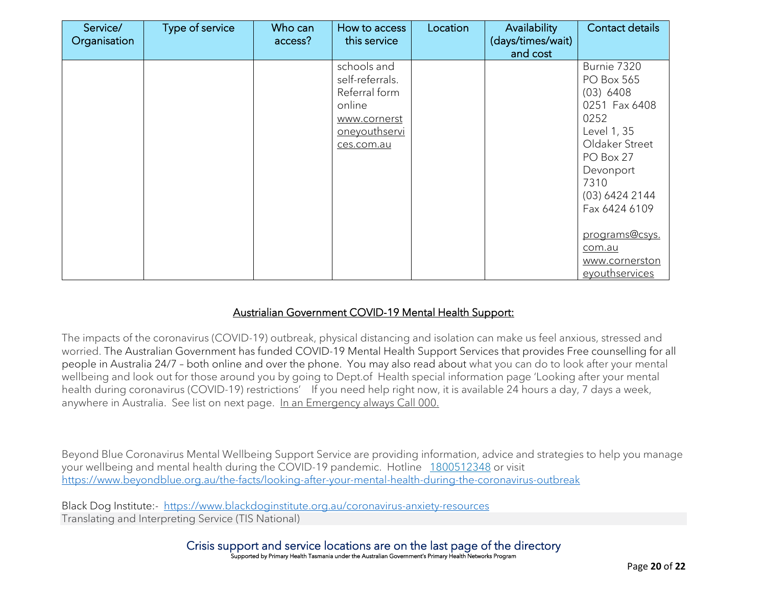| Service/<br>Organisation | Type of service | Who can<br>access? | How to access<br>this service                                                                            | Location | Availability<br>(days/times/wait)<br>and cost | Contact details                                                                                                                                                                                                                              |
|--------------------------|-----------------|--------------------|----------------------------------------------------------------------------------------------------------|----------|-----------------------------------------------|----------------------------------------------------------------------------------------------------------------------------------------------------------------------------------------------------------------------------------------------|
|                          |                 |                    | schools and<br>self-referrals.<br>Referral form<br>online<br>www.cornerst<br>oneyouthservi<br>ces.com.au |          |                                               | Burnie 7320<br><b>PO Box 565</b><br>(03) 6408<br>0251 Fax 6408<br>0252<br>Level 1, 35<br>Oldaker Street<br>PO Box 27<br>Devonport<br>7310<br>(03) 6424 2144<br>Fax 6424 6109<br>programs@csys.<br>com.au<br>www.cornerston<br>eyouthservices |

#### Austrialian Government COVID-19 Mental Health Support:

The impacts of the coronavirus (COVID-19) outbreak, physical distancing and isolation can make us feel anxious, stressed and worried. The Australian Government has funded COVID-19 Mental Health Support Services that provides Free counselling for all people in Australia 24/7 – both online and over the phone. You may also read about what you can do to look after your mental wellbeing and look out for those around you by going to Dept.of Health special information page 'Looking after your mental health during coronavirus (COVID-19) restrictions' If you need help right now, it is available 24 hours a day, 7 days a week, anywhere in Australia. See list on next page. In an Emergency always Call 000.

Beyond Blue Coronavirus Mental Wellbeing Support Service are providing information, advice and strategies to help you manage your wellbeing and mental health during the COVID-19 pandemic. Hotline [1800512348](tel:1800512348) or visit <https://www.beyondblue.org.au/the-facts/looking-after-your-mental-health-during-the-coronavirus-outbreak>

Black Dog Institute:- <https://www.blackdoginstitute.org.au/coronavirus-anxiety-resources> Translating and Interpreting Service (TIS National)

> Crisis support and service locations are on the last page of the directory Supported by Primary Health Tasmania under the Australian Government's Primary Health Networks Program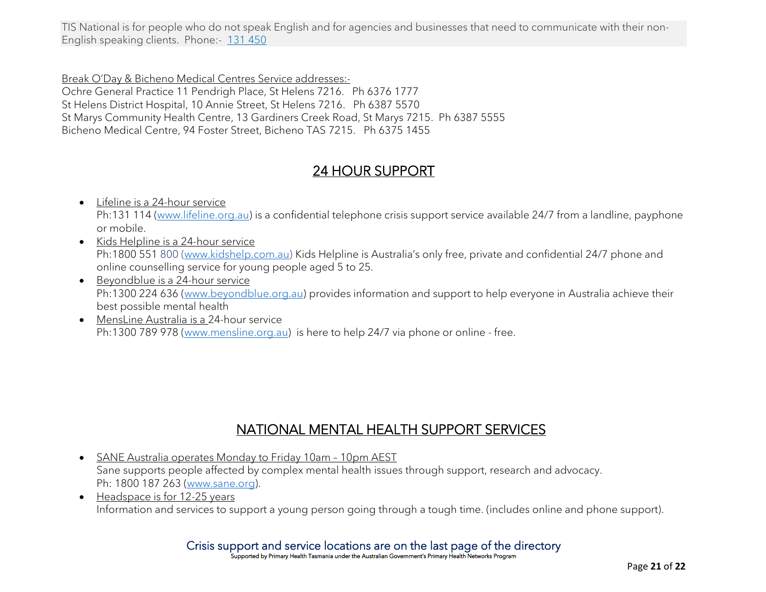TIS National is for people who do not speak English and for agencies and businesses that need to communicate with their non-English speaking clients. Phone:- [131 450](tel:131450)

Break O'Day & Bicheno Medical Centres Service addresses:- Ochre General Practice 11 Pendrigh Place, St Helens 7216. Ph 6376 1777 St Helens District Hospital, 10 Annie Street, St Helens 7216. Ph 6387 5570 St Marys Community Health Centre, 13 Gardiners Creek Road, St Marys 7215. Ph 6387 5555 Bicheno Medical Centre, 94 Foster Street, Bicheno TAS 7215. Ph 6375 1455

## 24 HOUR SUPPORT

- Lifeline is a 24-hour service Ph:131 114 [\(www.lifeline.org.au\)](http://www.lifeline.org.au/) is a confidential telephone crisis support service available 24/7 from a landline, payphone or mobile.
- Kids Helpline is a 24-hour service Ph:1800 551 800 [\(www.kidshelp.com.au\)](http://www.kidshelp.com.au/) Kids Helpline is Australia's only free, private and confidential 24/7 phone and online counselling service for young people aged 5 to 25.
- Beyondblue is a 24-hour service Ph:1300 224 636 [\(www.beyondblue.org.au\)](http://www.beyondblue.org.au/) provides information and support to help everyone in Australia achieve their best possible mental health
- MensLine Australia is a 24-hour service Ph:1300 789 978 [\(www.mensline.org.au\)](http://www.mensline.org.au/) is here to help 24/7 via phone or online - free.

## NATIONAL MENTAL HEALTH SUPPORT SERVICES

- SANE Australia operates Monday to Friday 10am 10pm AEST Sane supports people affected by complex mental health issues through support, research and advocacy. Ph: 1800 187 263 [\(www.sane.org\)](http://www.sane.org/).
- Headspace is for 12-25 years Information and services to support a young person going through a tough time. (includes online and phone support).